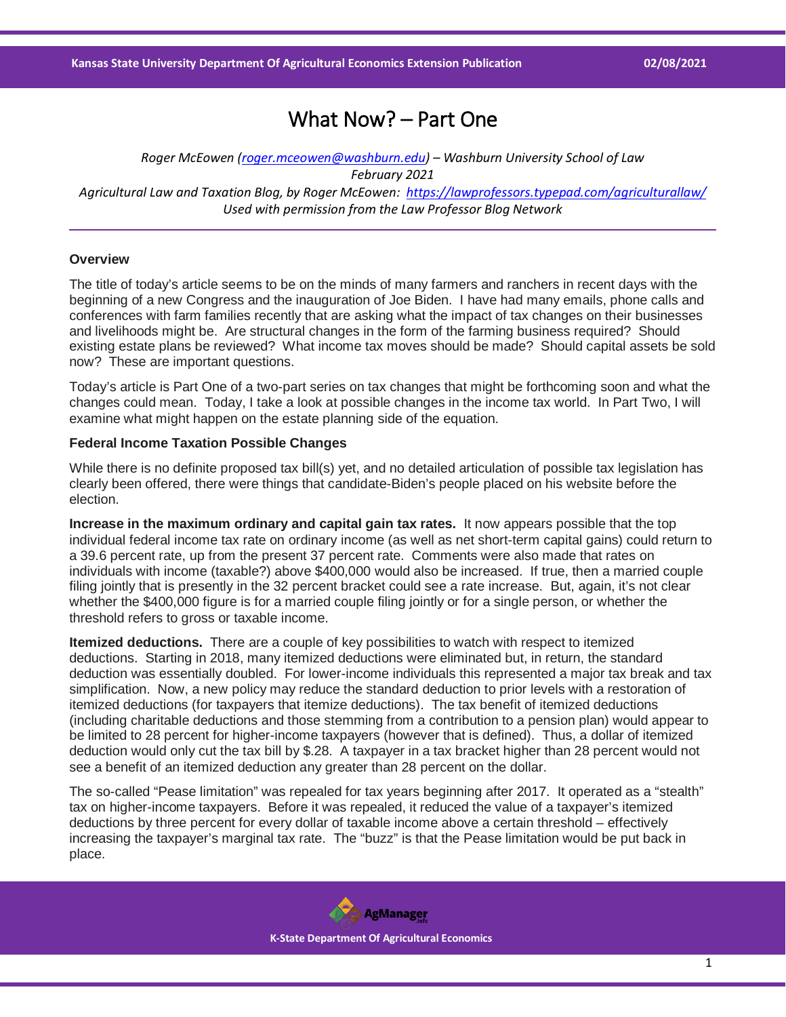# What Now? – Part One

*Roger McEowen [\(roger.mceowen@washburn.edu\)](mailto:roger.mceowen@washburn.edu) – Washburn University School of Law February 2021 Agricultural Law and Taxation Blog, by Roger McEowen:<https://lawprofessors.typepad.com/agriculturallaw/> Used with permission from the Law Professor Blog Network*

#### **Overview**

The title of today's article seems to be on the minds of many farmers and ranchers in recent days with the beginning of a new Congress and the inauguration of Joe Biden. I have had many emails, phone calls and conferences with farm families recently that are asking what the impact of tax changes on their businesses and livelihoods might be. Are structural changes in the form of the farming business required? Should existing estate plans be reviewed? What income tax moves should be made? Should capital assets be sold now? These are important questions.

Today's article is Part One of a two-part series on tax changes that might be forthcoming soon and what the changes could mean. Today, I take a look at possible changes in the income tax world. In Part Two, I will examine what might happen on the estate planning side of the equation.

### **Federal Income Taxation Possible Changes**

While there is no definite proposed tax bill(s) yet, and no detailed articulation of possible tax legislation has clearly been offered, there were things that candidate-Biden's people placed on his website before the election.

**Increase in the maximum ordinary and capital gain tax rates.** It now appears possible that the top individual federal income tax rate on ordinary income (as well as net short-term capital gains) could return to a 39.6 percent rate, up from the present 37 percent rate. Comments were also made that rates on individuals with income (taxable?) above \$400,000 would also be increased. If true, then a married couple filing jointly that is presently in the 32 percent bracket could see a rate increase. But, again, it's not clear whether the \$400,000 figure is for a married couple filing jointly or for a single person, or whether the threshold refers to gross or taxable income.

**Itemized deductions.** There are a couple of key possibilities to watch with respect to itemized deductions. Starting in 2018, many itemized deductions were eliminated but, in return, the standard deduction was essentially doubled. For lower-income individuals this represented a major tax break and tax simplification. Now, a new policy may reduce the standard deduction to prior levels with a restoration of itemized deductions (for taxpayers that itemize deductions). The tax benefit of itemized deductions (including charitable deductions and those stemming from a contribution to a pension plan) would appear to be limited to 28 percent for higher-income taxpayers (however that is defined). Thus, a dollar of itemized deduction would only cut the tax bill by \$.28. A taxpayer in a tax bracket higher than 28 percent would not see a benefit of an itemized deduction any greater than 28 percent on the dollar.

The so-called "Pease limitation" was repealed for tax years beginning after 2017. It operated as a "stealth" tax on higher-income taxpayers. Before it was repealed, it reduced the value of a taxpayer's itemized deductions by three percent for every dollar of taxable income above a certain threshold – effectively increasing the taxpayer's marginal tax rate. The "buzz" is that the Pease limitation would be put back in place.

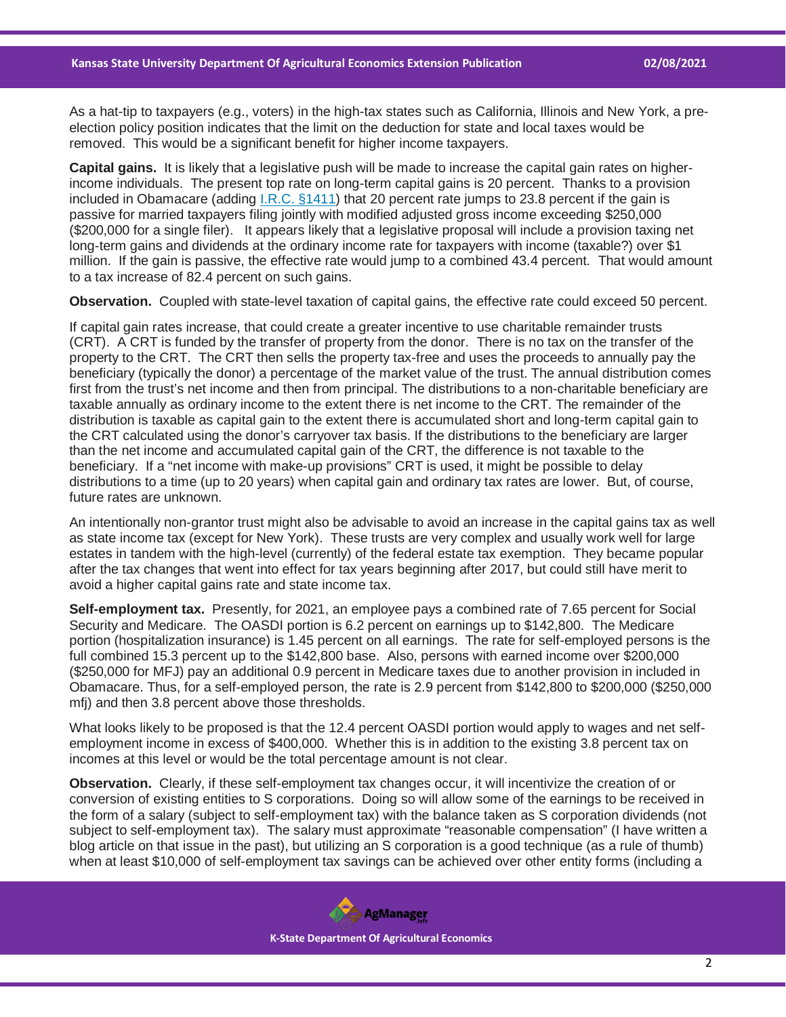As a hat-tip to taxpayers (e.g., voters) in the high-tax states such as California, Illinois and New York, a preelection policy position indicates that the limit on the deduction for state and local taxes would be removed. This would be a significant benefit for higher income taxpayers.

**Capital gains.** It is likely that a legislative push will be made to increase the capital gain rates on higherincome individuals. The present top rate on long-term capital gains is 20 percent. Thanks to a provision included in Obamacare (adding [I.R.C. §1411\)](https://casetext.com/statute/united-states-code/title-26-internal-revenue-code/subtitle-a-income-taxes/chapter-2a-unearned-income-medicare-contribution/section-1411-imposition-of-tax?ref=ArRBZs!2w1yws) that 20 percent rate jumps to 23.8 percent if the gain is passive for married taxpayers filing jointly with modified adjusted gross income exceeding \$250,000 (\$200,000 for a single filer). It appears likely that a legislative proposal will include a provision taxing net long-term gains and dividends at the ordinary income rate for taxpayers with income (taxable?) over \$1 million. If the gain is passive, the effective rate would jump to a combined 43.4 percent. That would amount to a tax increase of 82.4 percent on such gains.

**Observation.** Coupled with state-level taxation of capital gains, the effective rate could exceed 50 percent.

If capital gain rates increase, that could create a greater incentive to use charitable remainder trusts (CRT). A CRT is funded by the transfer of property from the donor. There is no tax on the transfer of the property to the CRT. The CRT then sells the property tax-free and uses the proceeds to annually pay the beneficiary (typically the donor) a percentage of the market value of the trust. The annual distribution comes first from the trust's net income and then from principal. The distributions to a non-charitable beneficiary are taxable annually as ordinary income to the extent there is net income to the CRT. The remainder of the distribution is taxable as capital gain to the extent there is accumulated short and long-term capital gain to the CRT calculated using the donor's carryover tax basis. If the distributions to the beneficiary are larger than the net income and accumulated capital gain of the CRT, the difference is not taxable to the beneficiary. If a "net income with make-up provisions" CRT is used, it might be possible to delay distributions to a time (up to 20 years) when capital gain and ordinary tax rates are lower. But, of course, future rates are unknown.

An intentionally non-grantor trust might also be advisable to avoid an increase in the capital gains tax as well as state income tax (except for New York). These trusts are very complex and usually work well for large estates in tandem with the high-level (currently) of the federal estate tax exemption. They became popular after the tax changes that went into effect for tax years beginning after 2017, but could still have merit to avoid a higher capital gains rate and state income tax.

**Self-employment tax.** Presently, for 2021, an employee pays a combined rate of 7.65 percent for Social Security and Medicare. The OASDI portion is 6.2 percent on earnings up to \$142,800. The Medicare portion (hospitalization insurance) is 1.45 percent on all earnings. The rate for self-employed persons is the full combined 15.3 percent up to the \$142,800 base. Also, persons with earned income over \$200,000 (\$250,000 for MFJ) pay an additional 0.9 percent in Medicare taxes due to another provision in included in Obamacare. Thus, for a self-employed person, the rate is 2.9 percent from \$142,800 to \$200,000 (\$250,000 mfj) and then 3.8 percent above those thresholds.

What looks likely to be proposed is that the 12.4 percent OASDI portion would apply to wages and net selfemployment income in excess of \$400,000. Whether this is in addition to the existing 3.8 percent tax on incomes at this level or would be the total percentage amount is not clear.

**Observation.** Clearly, if these self-employment tax changes occur, it will incentivize the creation of or conversion of existing entities to S corporations. Doing so will allow some of the earnings to be received in the form of a salary (subject to self-employment tax) with the balance taken as S corporation dividends (not subject to self-employment tax). The salary must approximate "reasonable compensation" (I have written a blog article on that issue in the past), but utilizing an S corporation is a good technique (as a rule of thumb) when at least \$10,000 of self-employment tax savings can be achieved over other entity forms (including a

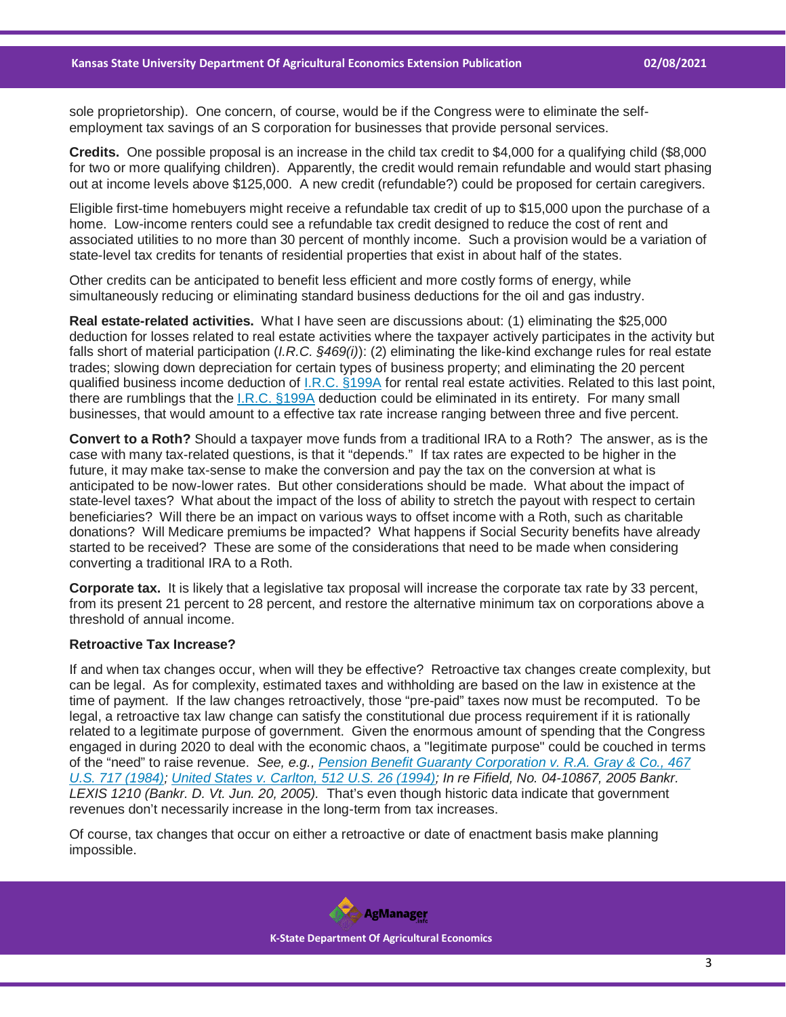sole proprietorship). One concern, of course, would be if the Congress were to eliminate the selfemployment tax savings of an S corporation for businesses that provide personal services.

**Credits.** One possible proposal is an increase in the child tax credit to \$4,000 for a qualifying child (\$8,000 for two or more qualifying children). Apparently, the credit would remain refundable and would start phasing out at income levels above \$125,000. A new credit (refundable?) could be proposed for certain caregivers.

Eligible first-time homebuyers might receive a refundable tax credit of up to \$15,000 upon the purchase of a home. Low-income renters could see a refundable tax credit designed to reduce the cost of rent and associated utilities to no more than 30 percent of monthly income. Such a provision would be a variation of state-level tax credits for tenants of residential properties that exist in about half of the states.

Other credits can be anticipated to benefit less efficient and more costly forms of energy, while simultaneously reducing or eliminating standard business deductions for the oil and gas industry.

**Real estate-related activities.** What I have seen are discussions about: (1) eliminating the \$25,000 deduction for losses related to real estate activities where the taxpayer actively participates in the activity but falls short of material participation (*I.R.C. §469(i)*): (2) eliminating the like-kind exchange rules for real estate trades; slowing down depreciation for certain types of business property; and eliminating the 20 percent qualified business income deduction of [I.R.C. §199A](https://casetext.com/statute/united-states-code/title-26-internal-revenue-code/subtitle-a-income-taxes/chapter-1-normal-taxes-and-surtaxes/subchapter-b-computation-of-taxable-income/part-vi-itemized-deductions-for-individuals-and-corporations/section-199a-qualified-business-income?ref=ArRBZs!_T71E8) for rental real estate activities. Related to this last point, there are rumblings that the [I.R.C. §199A](https://casetext.com/statute/united-states-code/title-26-internal-revenue-code/subtitle-a-income-taxes/chapter-1-normal-taxes-and-surtaxes/subchapter-b-computation-of-taxable-income/part-vi-itemized-deductions-for-individuals-and-corporations/section-199a-qualified-business-income?ref=ArRBZs!_T71E8) deduction could be eliminated in its entirety. For many small businesses, that would amount to a effective tax rate increase ranging between three and five percent.

**Convert to a Roth?** Should a taxpayer move funds from a traditional IRA to a Roth? The answer, as is the case with many tax-related questions, is that it "depends." If tax rates are expected to be higher in the future, it may make tax-sense to make the conversion and pay the tax on the conversion at what is anticipated to be now-lower rates. But other considerations should be made. What about the impact of state-level taxes? What about the impact of the loss of ability to stretch the payout with respect to certain beneficiaries? Will there be an impact on various ways to offset income with a Roth, such as charitable donations? Will Medicare premiums be impacted? What happens if Social Security benefits have already started to be received? These are some of the considerations that need to be made when considering converting a traditional IRA to a Roth.

**Corporate tax.** It is likely that a legislative tax proposal will increase the corporate tax rate by 33 percent, from its present 21 percent to 28 percent, and restore the alternative minimum tax on corporations above a threshold of annual income.

# **Retroactive Tax Increase?**

If and when tax changes occur, when will they be effective? Retroactive tax changes create complexity, but can be legal. As for complexity, estimated taxes and withholding are based on the law in existence at the time of payment. If the law changes retroactively, those "pre-paid" taxes now must be recomputed. To be legal, a retroactive tax law change can satisfy the constitutional due process requirement if it is rationally related to a legitimate purpose of government. Given the enormous amount of spending that the Congress engaged in during 2020 to deal with the economic chaos, a "legitimate purpose" could be couched in terms of the "need" to raise revenue. *See, e.g., [Pension Benefit Guaranty Corporation v. R.A. Gray & Co., 467](https://casetext.com/case/pension-benefit-guaranty-corp-v-r-a-gray-co?ref=ArRBZs!xGHnQw)  [U.S. 717 \(1984\);](https://casetext.com/case/pension-benefit-guaranty-corp-v-r-a-gray-co?ref=ArRBZs!xGHnQw) [United States v. Carlton, 512 U.S. 26 \(1994\);](https://casetext.com/case/united-states-v-carlton?ref=ArRBZs!HnNqUa) In re Fifield, No. 04-10867, 2005 Bankr. LEXIS 1210 (Bankr. D. Vt. Jun. 20, 2005).* That's even though historic data indicate that government revenues don't necessarily increase in the long-term from tax increases.

Of course, tax changes that occur on either a retroactive or date of enactment basis make planning impossible.